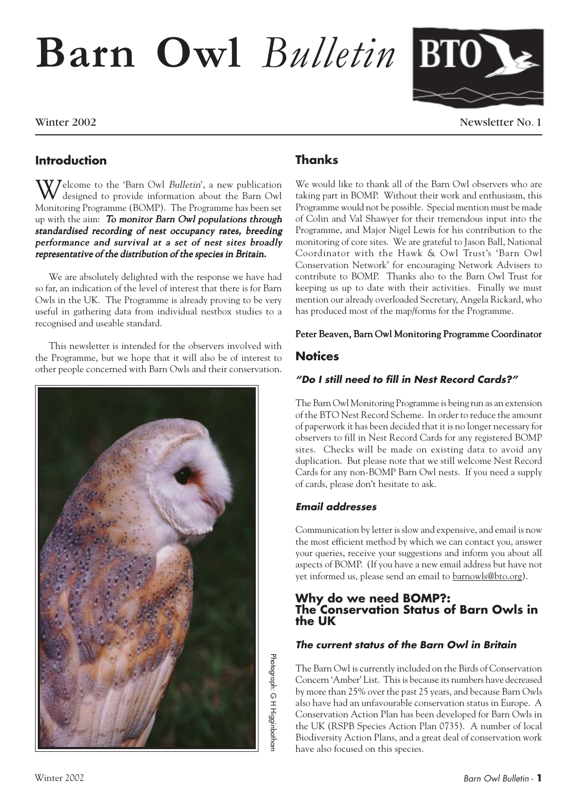# **Barn Owl** *Bulletin*



Winter 2002 Newsletter No. 1

### **Introduction**

 $\bf W$  elcome to the 'Barn Owl *Bulletin*', a new publication designed to provide information about the Barn Owl Monitoring Programme (BOMP). The Programme has been set up with the aim: To monitor Barn Owl populations through standardised recording of nest occupancy rates, breeding performance and survival at a set of nest sites broadly representative of the distribution of the species in Britain.

We are absolutely delighted with the response we have had so far, an indication of the level of interest that there is for Barn Owls in the UK. The Programme is already proving to be very useful in gathering data from individual nestbox studies to a recognised and useable standard.

This newsletter is intended for the observers involved with the Programme, but we hope that it will also be of interest to other people concerned with Barn Owls and their conservation.



### **Thanks**

We would like to thank all of the Barn Owl observers who are taking part in BOMP. Without their work and enthusiasm, this Programme would not be possible. Special mention must be made of Colin and Val Shawyer for their tremendous input into the Programme, and Major Nigel Lewis for his contribution to the monitoring of core sites. We are grateful to Jason Ball, National Coordinator with the Hawk & Owl Trust's 'Barn Owl Conservation Network' for encouraging Network Advisers to contribute to BOMP. Thanks also to the Barn Owl Trust for keeping us up to date with their activities. Finally we must mention our already overloaded Secretary, Angela Rickard, who has produced most of the map/forms for the Programme.

### Peter Beaven, Barn Owl Monitoring Programme Coordinator

### **Notices**

### **"Do I still need to fill in Nest Record Cards?"**

The Barn Owl Monitoring Programme is being run as an extension of the BTO Nest Record Scheme. In order to reduce the amount of paperwork it has been decided that it is no longer necessary for observers to fill in Nest Record Cards for any registered BOMP sites. Checks will be made on existing data to avoid any duplication. But please note that we still welcome Nest Record Cards for any non-BOMP Barn Owl nests. If you need a supply of cards, please don't hesitate to ask.

### **Email addresses**

Photograph: G H Higginbothan Photograph: G H Higginbotham Communication by letter is slow and expensive, and email is now the most efficient method by which we can contact you, answer your queries, receive your suggestions and inform you about all aspects of BOMP. (If you have a new email address but have not yet informed us, please send an email to barnowls@bto.org).

### **Why do we need BOMP?: The Conservation Status of Barn Owls in the UK**

### **The current status of the Barn Owl in Britain**

The Barn Owl is currently included on the Birds of Conservation Concern 'Amber' List. This is because its numbers have decreased by more than 25% over the past 25 years, and because Barn Owls also have had an unfavourable conservation status in Europe. A Conservation Action Plan has been developed for Barn Owls in the UK (RSPB Species Action Plan 0735). A number of local Biodiversity Action Plans, and a great deal of conservation work have also focused on this species.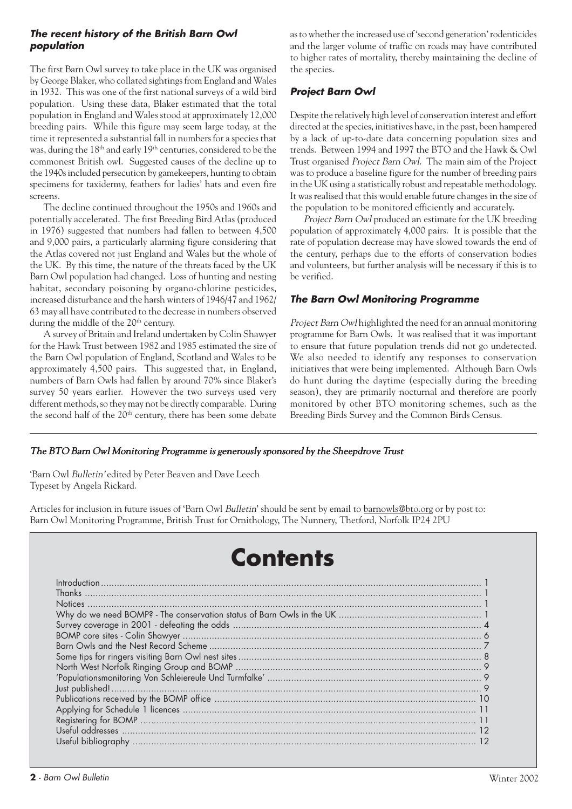### **The recent history of the British Barn Owl population**

The first Barn Owl survey to take place in the UK was organised by George Blaker, who collated sightings from England and Wales in 1932. This was one of the first national surveys of a wild bird population. Using these data, Blaker estimated that the total population in England and Wales stood at approximately 12,000 breeding pairs. While this figure may seem large today, at the time it represented a substantial fall in numbers for a species that was, during the 18th and early 19th centuries, considered to be the commonest British owl. Suggested causes of the decline up to the 1940s included persecution by gamekeepers, hunting to obtain specimens for taxidermy, feathers for ladies' hats and even fire screens.

The decline continued throughout the 1950s and 1960s and potentially accelerated. The first Breeding Bird Atlas (produced in 1976) suggested that numbers had fallen to between 4,500 and 9,000 pairs, a particularly alarming figure considering that the Atlas covered not just England and Wales but the whole of the UK. By this time, the nature of the threats faced by the UK Barn Owl population had changed. Loss of hunting and nesting habitat, secondary poisoning by organo-chlorine pesticides, increased disturbance and the harsh winters of 1946/47 and 1962/ 63 may all have contributed to the decrease in numbers observed during the middle of the 20<sup>th</sup> century.

A survey of Britain and Ireland undertaken by Colin Shawyer for the Hawk Trust between 1982 and 1985 estimated the size of the Barn Owl population of England, Scotland and Wales to be approximately 4,500 pairs. This suggested that, in England, numbers of Barn Owls had fallen by around 70% since Blaker's survey 50 years earlier. However the two surveys used very different methods, so they may not be directly comparable. During the second half of the 20<sup>th</sup> century, there has been some debate

as to whether the increased use of 'second generation' rodenticides and the larger volume of traffic on roads may have contributed to higher rates of mortality, thereby maintaining the decline of the species.

### **Project Barn Owl**

Despite the relatively high level of conservation interest and effort directed at the species, initiatives have, in the past, been hampered by a lack of up-to-date data concerning population sizes and trends. Between 1994 and 1997 the BTO and the Hawk & Owl Trust organised Project Barn Owl. The main aim of the Project was to produce a baseline figure for the number of breeding pairs in the UK using a statistically robust and repeatable methodology. It was realised that this would enable future changes in the size of the population to be monitored efficiently and accurately.

Project Barn Owl produced an estimate for the UK breeding population of approximately 4,000 pairs. It is possible that the rate of population decrease may have slowed towards the end of the century, perhaps due to the efforts of conservation bodies and volunteers, but further analysis will be necessary if this is to be verified.

### **The Barn Owl Monitoring Programme**

Project Barn Owl highlighted the need for an annual monitoring programme for Barn Owls. It was realised that it was important to ensure that future population trends did not go undetected. We also needed to identify any responses to conservation initiatives that were being implemented. Although Barn Owls do hunt during the daytime (especially during the breeding season), they are primarily nocturnal and therefore are poorly monitored by other BTO monitoring schemes, such as the Breeding Birds Survey and the Common Birds Census.

### The BTO Barn Owl Monitoring Programme is generously sponsored by the Sheepdrove Trust

'Barn Owl Bulletin' edited by Peter Beaven and Dave Leech Typeset by Angela Rickard.

Articles for inclusion in future issues of 'Barn Owl Bulletin' should be sent by email to barnowls@bto.org or by post to: Barn Owl Monitoring Programme, British Trust for Ornithology, The Nunnery, Thetford, Norfolk IP24 2PU

### **Contents**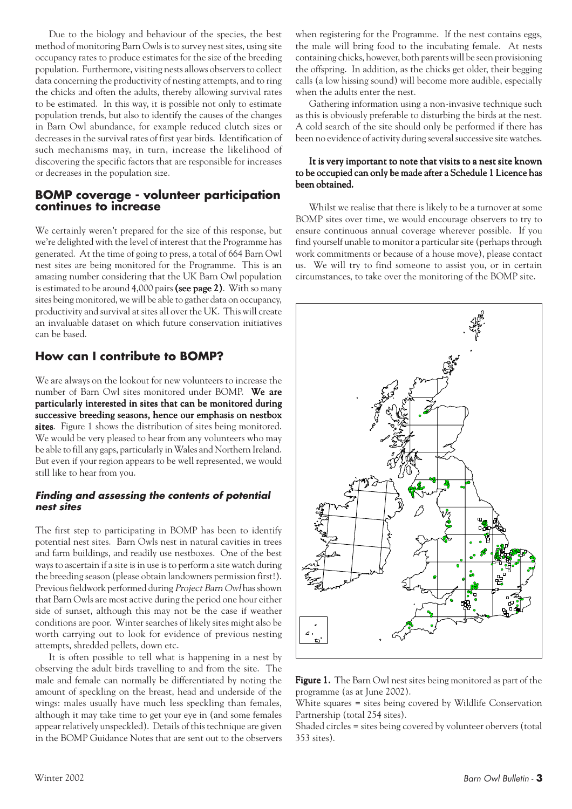Due to the biology and behaviour of the species, the best method of monitoring Barn Owls is to survey nest sites, using site occupancy rates to produce estimates for the size of the breeding population. Furthermore, visiting nests allows observers to collect data concerning the productivity of nesting attempts, and to ring the chicks and often the adults, thereby allowing survival rates to be estimated. In this way, it is possible not only to estimate population trends, but also to identify the causes of the changes in Barn Owl abundance, for example reduced clutch sizes or decreases in the survival rates of first year birds. Identification of such mechanisms may, in turn, increase the likelihood of discovering the specific factors that are responsible for increases or decreases in the population size.

### **BOMP coverage - volunteer participation continues to increase**

We certainly weren't prepared for the size of this response, but we're delighted with the level of interest that the Programme has generated. At the time of going to press, a total of 664 Barn Owl nest sites are being monitored for the Programme. This is an amazing number considering that the UK Barn Owl population is estimated to be around  $4,000$  pairs (see page 2). With so many sites being monitored, we will be able to gather data on occupancy, productivity and survival at sites all over the UK. This will create an invaluable dataset on which future conservation initiatives can be based.

### **How can I contribute to BOMP?**

We are always on the lookout for new volunteers to increase the number of Barn Owl sites monitored under BOMP. We are particularly interested in sites that can be monitored during successive breeding seasons, hence our emphasis on nestbox sites. Figure 1 shows the distribution of sites being monitored. We would be very pleased to hear from any volunteers who may be able to fill any gaps, particularly in Wales and Northern Ireland. But even if your region appears to be well represented, we would still like to hear from you.

### **Finding and assessing the contents of potential nest sites**

The first step to participating in BOMP has been to identify potential nest sites. Barn Owls nest in natural cavities in trees and farm buildings, and readily use nestboxes. One of the best ways to ascertain if a site is in use is to perform a site watch during the breeding season (please obtain landowners permission first!). Previous fieldwork performed during Project Barn Owl has shown that Barn Owls are most active during the period one hour either side of sunset, although this may not be the case if weather conditions are poor. Winter searches of likely sites might also be worth carrying out to look for evidence of previous nesting attempts, shredded pellets, down etc.

It is often possible to tell what is happening in a nest by observing the adult birds travelling to and from the site. The male and female can normally be differentiated by noting the amount of speckling on the breast, head and underside of the wings: males usually have much less speckling than females, although it may take time to get your eye in (and some females appear relatively unspeckled). Details of this technique are given in the BOMP Guidance Notes that are sent out to the observers

when registering for the Programme. If the nest contains eggs, the male will bring food to the incubating female. At nests containing chicks, however, both parents will be seen provisioning the offspring. In addition, as the chicks get older, their begging calls (a low hissing sound) will become more audible, especially when the adults enter the nest.

Gathering information using a non-invasive technique such as this is obviously preferable to disturbing the birds at the nest. A cold search of the site should only be performed if there has been no evidence of activity during several successive site watches.

### It is very important to note that visits to a nest site known to be occupied can only be made after a Schedule 1 Licence has been obtained.

Whilst we realise that there is likely to be a turnover at some BOMP sites over time, we would encourage observers to try to ensure continuous annual coverage wherever possible. If you find yourself unable to monitor a particular site (perhaps through work commitments or because of a house move), please contact us. We will try to find someone to assist you, or in certain circumstances, to take over the monitoring of the BOMP site.



Figure 1. The Barn Owl nest sites being monitored as part of the programme (as at June 2002).

White squares = sites being covered by Wildlife Conservation Partnership (total 254 sites).

Shaded circles = sites being covered by volunteer obervers (total 353 sites).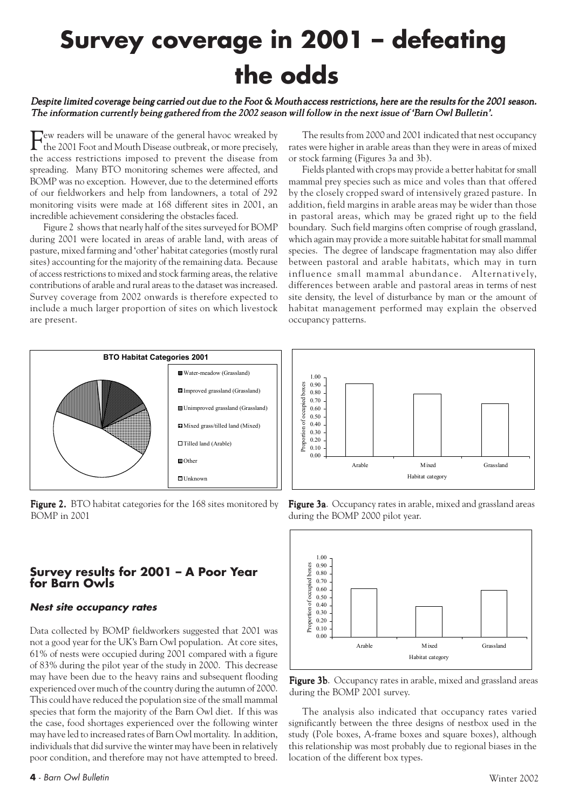### **Survey coverage in 2001 – defeating the odds**

#### Despite limited coverage being carried out due to the Foot  $\&$  Mouth access restrictions, here are the results for the 2001 season. The information currently being gathered from the 2002 season will follow in the next issue of 'Barn Owl Bulletin'.

Few readers will be unaware of the general havoc wreaked by<br>the 2001 Foot and Mouth Discoss and Lui the 2001 Foot and Mouth Disease outbreak, or more precisely, the access restrictions imposed to prevent the disease from spreading. Many BTO monitoring schemes were affected, and BOMP was no exception. However, due to the determined efforts of our fieldworkers and help from landowners, a total of 292 monitoring visits were made at 168 different sites in 2001, an incredible achievement considering the obstacles faced.

Figure 2 shows that nearly half of the sites surveyed for BOMP during 2001 were located in areas of arable land, with areas of pasture, mixed farming and 'other' habitat categories (mostly rural sites) accounting for the majority of the remaining data. Because of access restrictions to mixed and stock farming areas, the relative contributions of arable and rural areas to the dataset was increased. Survey coverage from 2002 onwards is therefore expected to include a much larger proportion of sites on which livestock are present.



**Figure 2.** BTO habitat categories for the 168 sites monitored by BOMP in 2001

### **Survey results for 2001 – A Poor Year for Barn Owls**

#### **Nest site occupancy rates**

Data collected by BOMP fieldworkers suggested that 2001 was not a good year for the UK's Barn Owl population. At core sites, 61% of nests were occupied during 2001 compared with a figure of 83% during the pilot year of the study in 2000. This decrease may have been due to the heavy rains and subsequent flooding experienced over much of the country during the autumn of 2000. This could have reduced the population size of the small mammal species that form the majority of the Barn Owl diet. If this was the case, food shortages experienced over the following winter may have led to increased rates of Barn Owl mortality. In addition, individuals that did survive the winter may have been in relatively poor condition, and therefore may not have attempted to breed.

The results from 2000 and 2001 indicated that nest occupancy rates were higher in arable areas than they were in areas of mixed or stock farming (Figures 3a and 3b).

Fields planted with crops may provide a better habitat for small mammal prey species such as mice and voles than that offered by the closely cropped sward of intensively grazed pasture. In addition, field margins in arable areas may be wider than those in pastoral areas, which may be grazed right up to the field boundary. Such field margins often comprise of rough grassland, which again may provide a more suitable habitat for small mammal species. The degree of landscape fragmentation may also differ between pastoral and arable habitats, which may in turn influence small mammal abundance. Alternatively, differences between arable and pastoral areas in terms of nest site density, the level of disturbance by man or the amount of habitat management performed may explain the observed occupancy patterns.







Figure 3b. Occupancy rates in arable, mixed and grassland areas during the BOMP 2001 survey.

The analysis also indicated that occupancy rates varied significantly between the three designs of nestbox used in the study (Pole boxes, A-frame boxes and square boxes), although this relationship was most probably due to regional biases in the location of the different box types.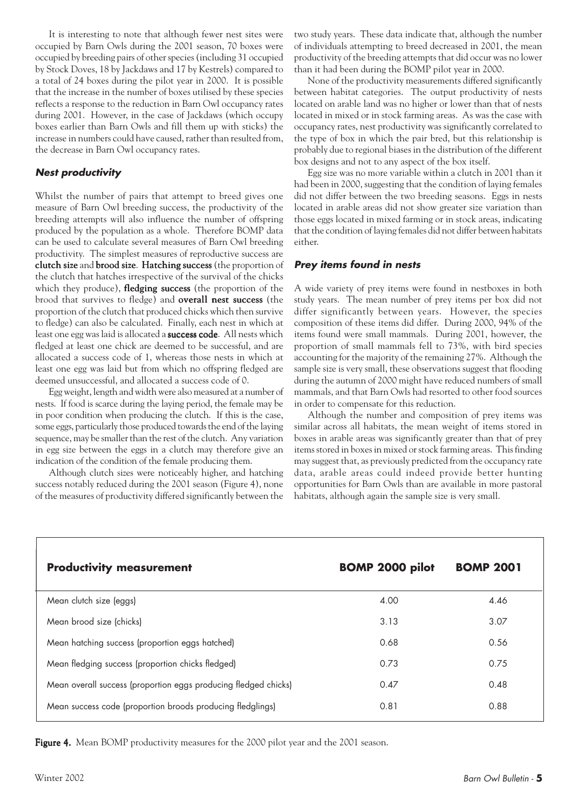It is interesting to note that although fewer nest sites were occupied by Barn Owls during the 2001 season, 70 boxes were occupied by breeding pairs of other species (including 31 occupied by Stock Doves, 18 by Jackdaws and 17 by Kestrels) compared to a total of 24 boxes during the pilot year in 2000. It is possible that the increase in the number of boxes utilised by these species reflects a response to the reduction in Barn Owl occupancy rates during 2001. However, in the case of Jackdaws (which occupy boxes earlier than Barn Owls and fill them up with sticks) the increase in numbers could have caused, rather than resulted from, the decrease in Barn Owl occupancy rates.

### **Nest productivity**

Whilst the number of pairs that attempt to breed gives one measure of Barn Owl breeding success, the productivity of the breeding attempts will also influence the number of offspring produced by the population as a whole. Therefore BOMP data can be used to calculate several measures of Barn Owl breeding productivity. The simplest measures of reproductive success are clutch size and brood size. Hatching success (the proportion of the clutch that hatches irrespective of the survival of the chicks which they produce), **fledging success** (the proportion of the brood that survives to fledge) and **overall nest success** (the proportion of the clutch that produced chicks which then survive to fledge) can also be calculated. Finally, each nest in which at least one egg was laid is allocated a success code. All nests which fledged at least one chick are deemed to be successful, and are allocated a success code of 1, whereas those nests in which at least one egg was laid but from which no offspring fledged are deemed unsuccessful, and allocated a success code of 0.

Egg weight, length and width were also measured at a number of nests. If food is scarce during the laying period, the female may be in poor condition when producing the clutch. If this is the case, some eggs, particularly those produced towards the end of the laying sequence, may be smaller than the rest of the clutch. Any variation in egg size between the eggs in a clutch may therefore give an indication of the condition of the female producing them.

Although clutch sizes were noticeably higher, and hatching success notably reduced during the 2001 season (Figure 4), none of the measures of productivity differed significantly between the two study years. These data indicate that, although the number of individuals attempting to breed decreased in 2001, the mean productivity of the breeding attempts that did occur was no lower than it had been during the BOMP pilot year in 2000.

None of the productivity measurements differed significantly between habitat categories. The output productivity of nests located on arable land was no higher or lower than that of nests located in mixed or in stock farming areas. As was the case with occupancy rates, nest productivity was significantly correlated to the type of box in which the pair bred, but this relationship is probably due to regional biases in the distribution of the different box designs and not to any aspect of the box itself.

Egg size was no more variable within a clutch in 2001 than it had been in 2000, suggesting that the condition of laying females did not differ between the two breeding seasons. Eggs in nests located in arable areas did not show greater size variation than those eggs located in mixed farming or in stock areas, indicating that the condition of laying females did not differ between habitats either.

#### **Prey items found in nests**

A wide variety of prey items were found in nestboxes in both study years. The mean number of prey items per box did not differ significantly between years. However, the species composition of these items did differ. During 2000, 94% of the items found were small mammals. During 2001, however, the proportion of small mammals fell to 73%, with bird species accounting for the majority of the remaining 27%. Although the sample size is very small, these observations suggest that flooding during the autumn of 2000 might have reduced numbers of small mammals, and that Barn Owls had resorted to other food sources in order to compensate for this reduction.

Although the number and composition of prey items was similar across all habitats, the mean weight of items stored in boxes in arable areas was significantly greater than that of prey items stored in boxes in mixed or stock farming areas. This finding may suggest that, as previously predicted from the occupancy rate data, arable areas could indeed provide better hunting opportunities for Barn Owls than are available in more pastoral habitats, although again the sample size is very small.

| <b>Productivity measurement</b>                                 | <b>BOMP 2000 pilot</b> | <b>BOMP 2001</b> |
|-----------------------------------------------------------------|------------------------|------------------|
| Mean clutch size (eggs)                                         | 4.00                   | 4.46             |
| Mean brood size (chicks)                                        | 3.13                   | 3.07             |
| Mean hatching success (proportion eggs hatched)                 | 0.68                   | 0.56             |
| Mean fledging success (proportion chicks fledged)               | 0.73                   | 0.75             |
| Mean overall success (proportion eggs producing fledged chicks) | 0.47                   | 0.48             |
| Mean success code (proportion broods producing fledglings)      | 0.81                   | 0.88             |

Figure 4. Mean BOMP productivity measures for the 2000 pilot year and the 2001 season.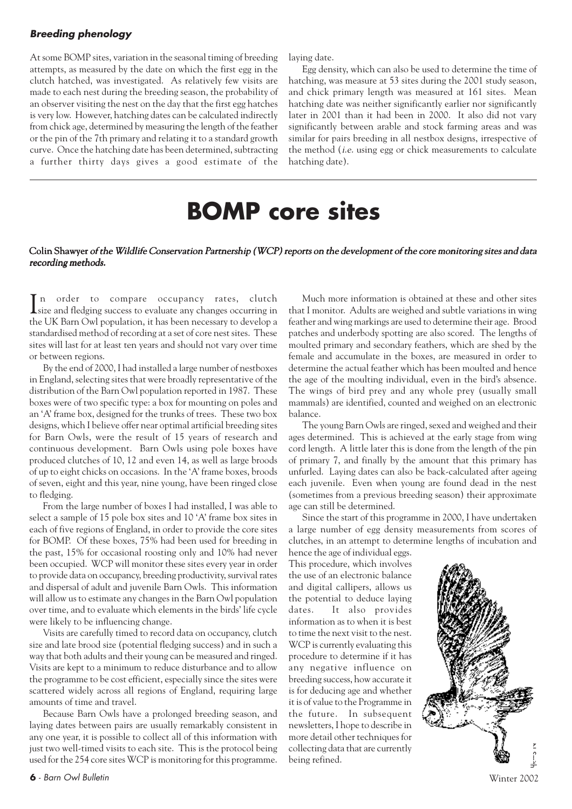### **Breeding phenology**

At some BOMP sites, variation in the seasonal timing of breeding attempts, as measured by the date on which the first egg in the clutch hatched, was investigated. As relatively few visits are made to each nest during the breeding season, the probability of an observer visiting the nest on the day that the first egg hatches is very low. However, hatching dates can be calculated indirectly from chick age, determined by measuring the length of the feather or the pin of the 7th primary and relating it to a standard growth curve. Once the hatching date has been determined, subtracting a further thirty days gives a good estimate of the laying date.

Egg density, which can also be used to determine the time of hatching, was measure at 53 sites during the 2001 study season, and chick primary length was measured at 161 sites. Mean hatching date was neither significantly earlier nor significantly later in 2001 than it had been in 2000. It also did not vary significantly between arable and stock farming areas and was similar for pairs breeding in all nestbox designs, irrespective of the method (i.e. using egg or chick measurements to calculate hatching date).

### **BOMP core sites**

#### Colin Shawyer of the Wildlife Conservation Partnership (WCP) reports on the development of the core monitoring sites and data recording methods.

In order to compare occupancy rates, clutch<br>size and fledging success to evaluate any changes occurring in size and fledging success to evaluate any changes occurring in the UK Barn Owl population, it has been necessary to develop a standardised method of recording at a set of core nest sites. These sites will last for at least ten years and should not vary over time or between regions.

By the end of 2000, I had installed a large number of nestboxes in England, selecting sites that were broadly representative of the distribution of the Barn Owl population reported in 1987. These boxes were of two specific type: a box for mounting on poles and an 'A' frame box, designed for the trunks of trees. These two box designs, which I believe offer near optimal artificial breeding sites for Barn Owls, were the result of 15 years of research and continuous development. Barn Owls using pole boxes have produced clutches of 10, 12 and even 14, as well as large broods of up to eight chicks on occasions. In the 'A' frame boxes, broods of seven, eight and this year, nine young, have been ringed close to fledging.

From the large number of boxes I had installed, I was able to select a sample of 15 pole box sites and 10 'A' frame box sites in each of five regions of England, in order to provide the core sites for BOMP. Of these boxes, 75% had been used for breeding in the past, 15% for occasional roosting only and 10% had never been occupied. WCP will monitor these sites every year in order to provide data on occupancy, breeding productivity, survival rates and dispersal of adult and juvenile Barn Owls. This information will allow us to estimate any changes in the Barn Owl population over time, and to evaluate which elements in the birds' life cycle were likely to be influencing change.

Visits are carefully timed to record data on occupancy, clutch size and late brood size (potential fledging success) and in such a way that both adults and their young can be measured and ringed. Visits are kept to a minimum to reduce disturbance and to allow the programme to be cost efficient, especially since the sites were scattered widely across all regions of England, requiring large amounts of time and travel.

Because Barn Owls have a prolonged breeding season, and laying dates between pairs are usually remarkably consistent in any one year, it is possible to collect all of this information with just two well-timed visits to each site. This is the protocol being used for the 254 core sites WCP is monitoring for this programme.

Much more information is obtained at these and other sites that I monitor. Adults are weighed and subtle variations in wing feather and wing markings are used to determine their age. Brood patches and underbody spotting are also scored. The lengths of moulted primary and secondary feathers, which are shed by the female and accumulate in the boxes, are measured in order to determine the actual feather which has been moulted and hence the age of the moulting individual, even in the bird's absence. The wings of bird prey and any whole prey (usually small mammals) are identified, counted and weighed on an electronic balance.

The young Barn Owls are ringed, sexed and weighed and their ages determined. This is achieved at the early stage from wing cord length. A little later this is done from the length of the pin of primary 7, and finally by the amount that this primary has unfurled. Laying dates can also be back-calculated after ageing each juvenile. Even when young are found dead in the nest (sometimes from a previous breeding season) their approximate age can still be determined.

Since the start of this programme in 2000, I have undertaken a large number of egg density measurements from scores of clutches, in an attempt to determine lengths of incubation and

hence the age of individual eggs. This procedure, which involves the use of an electronic balance and digital callipers, allows us the potential to deduce laying dates. It also provides information as to when it is best to time the next visit to the nest. WCP is currently evaluating this procedure to determine if it has any negative influence on breeding success, how accurate it is for deducing age and whether it is of value to the Programme in the future. In subsequent newsletters, I hope to describe in more detail other techniques for collecting data that are currently being refined.

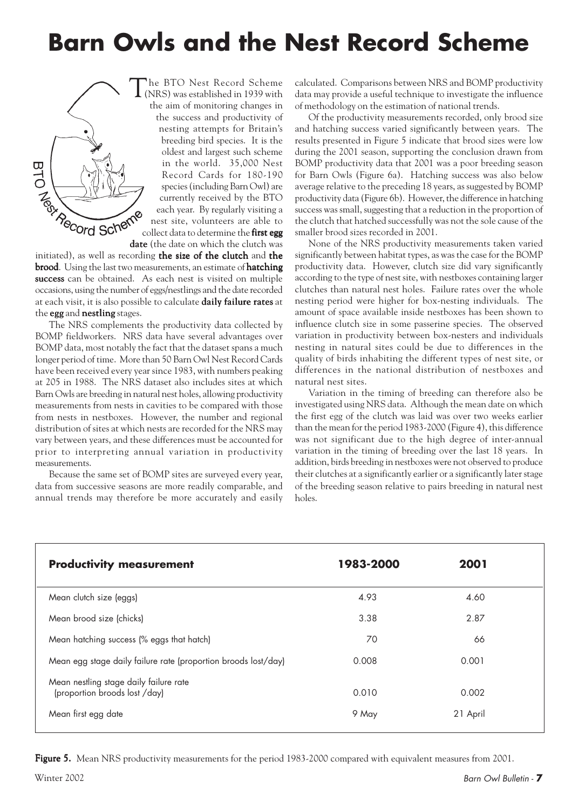### **Barn Owls and the Nest Record Scheme**



The BTO Nest Record Scheme (NRS) was established in 1939 with the aim of monitoring changes in the success and productivity of nesting attempts for Britain's breeding bird species. It is the oldest and largest such scheme in the world. 35,000 Nest Record Cards for 180-190 species (including Barn Owl) are currently received by the BTO each year. By regularly visiting a nest site, volunteers are able to Collect data to determine the first egg to the data of the data on which the clutch was date (the date on which the clutch was

initiated), as well as recording the size of the clutch and the brood. Using the last two measurements, an estimate of hatching success can be obtained. As each nest is visited on multiple occasions, using the number of eggs/nestlings and the date recorded at each visit, it is also possible to calculate **daily failure rates** at the  $egg$  and nestling stages.

The NRS complements the productivity data collected by BOMP fieldworkers. NRS data have several advantages over BOMP data, most notably the fact that the dataset spans a much longer period of time. More than 50 Barn Owl Nest Record Cards have been received every year since 1983, with numbers peaking at 205 in 1988. The NRS dataset also includes sites at which Barn Owls are breeding in natural nest holes, allowing productivity measurements from nests in cavities to be compared with those from nests in nestboxes. However, the number and regional distribution of sites at which nests are recorded for the NRS may vary between years, and these differences must be accounted for prior to interpreting annual variation in productivity measurements.

Because the same set of BOMP sites are surveyed every year, data from successive seasons are more readily comparable, and annual trends may therefore be more accurately and easily

calculated. Comparisons between NRS and BOMP productivity data may provide a useful technique to investigate the influence of methodology on the estimation of national trends.

Of the productivity measurements recorded, only brood size and hatching success varied significantly between years. The results presented in Figure 5 indicate that brood sizes were low during the 2001 season, supporting the conclusion drawn from BOMP productivity data that 2001 was a poor breeding season for Barn Owls (Figure 6a). Hatching success was also below average relative to the preceding 18 years, as suggested by BOMP productivity data (Figure 6b). However, the difference in hatching success was small, suggesting that a reduction in the proportion of the clutch that hatched successfully was not the sole cause of the smaller brood sizes recorded in 2001.

None of the NRS productivity measurements taken varied significantly between habitat types, as was the case for the BOMP productivity data. However, clutch size did vary significantly according to the type of nest site, with nestboxes containing larger clutches than natural nest holes. Failure rates over the whole nesting period were higher for box-nesting individuals. The amount of space available inside nestboxes has been shown to influence clutch size in some passerine species. The observed variation in productivity between box-nesters and individuals nesting in natural sites could be due to differences in the quality of birds inhabiting the different types of nest site, or differences in the national distribution of nestboxes and natural nest sites.

Variation in the timing of breeding can therefore also be investigated using NRS data. Although the mean date on which the first egg of the clutch was laid was over two weeks earlier than the mean for the period 1983-2000 (Figure 4), this difference was not significant due to the high degree of inter-annual variation in the timing of breeding over the last 18 years. In addition, birds breeding in nestboxes were not observed to produce their clutches at a significantly earlier or a significantly later stage of the breeding season relative to pairs breeding in natural nest holes.

| <b>Productivity measurement</b>                                         | 1983-2000 | 2001     |  |
|-------------------------------------------------------------------------|-----------|----------|--|
| Mean clutch size (eggs)                                                 | 4.93      | 4.60     |  |
| Mean brood size (chicks)                                                | 3.38      | 2.87     |  |
| Mean hatching success (% eggs that hatch)                               | 70        | 66       |  |
| Mean egg stage daily failure rate (proportion broods lost/day)          | 0.008     | 0.001    |  |
| Mean nestling stage daily failure rate<br>(proportion broods lost /day) | 0.010     | 0.002    |  |
| Mean first egg date                                                     | 9 May     | 21 April |  |

Figure 5. Mean NRS productivity measurements for the period 1983-2000 compared with equivalent measures from 2001.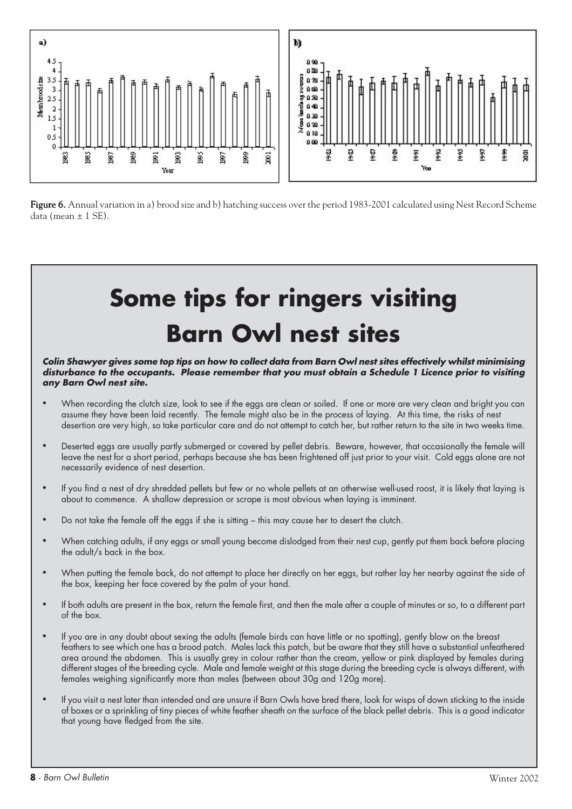

Figure 6. Annual variation in a) brood size and b) hatching success over the period 1983-2001 calculated using Nest Record Scheme data (mean  $\pm$  1 SE).

## **Some tips for ringers visiting Barn Owl nest sites**

**Colin Shawyer gives some top tips on how to collect data from Barn Owl nest sites effectively whilst minimising disturbance to the occupants. Please remember that you must obtain a Schedule 1 Licence prior to visiting any Barn Owl nest site.**

- When recording the clutch size, look to see if the eggs are clean or soiled. If one or more are very clean and bright you can assume they have been laid recently. The female might also be in the process of laying. At this time, the risks of nest desertion are very high, so take particular care and do not attempt to catch her, but rather return to the site in two weeks time.
- Deserted eggs are usually partly submerged or covered by pellet debris. Beware, however, that occasionally the female will leave the nest for a short period, perhaps because she has been frightened off just prior to your visit. Cold eggs alone are not necessarily evidence of nest desertion.
- If you find a nest of dry shredded pellets but few or no whole pellets at an otherwise well-used roost, it is likely that laying is about to commence. A shallow depression or scrape is most obvious when laying is imminent.
- Do not take the female off the eggs if she is sitting this may cause her to desert the clutch.
- When catching adults, if any eggs or small young become dislodged from their nest cup, gently put them back before placing the adult/s back in the box.
- When putting the female back, do not attempt to place her directly on her eggs, but rather lay her nearby against the side of the box, keeping her face covered by the palm of your hand.
- If both adults are present in the box, return the female first, and then the male after a couple of minutes or so, to a different part of the box.
- If you are in any doubt about sexing the adults (female birds can have little or no spotting), gently blow on the breast feathers to see which one has a brood patch. Males lack this patch, but be aware that they still have a substantial unfeathered area around the abdomen. This is usually grey in colour rather than the cream, yellow or pink displayed by females during different stages of the breeding cycle. Male and female weight at this stage during the breeding cycle is always different, with females weighing significantly more than males (between about 30g and 120g more).
- If you visit a nest later than intended and are unsure if Barn Owls have bred there, look for wisps of down sticking to the inside of boxes or a sprinkling of tiny pieces of white feather sheath on the surface of the black pellet debris. This is a good indicator that young have fledged from the site.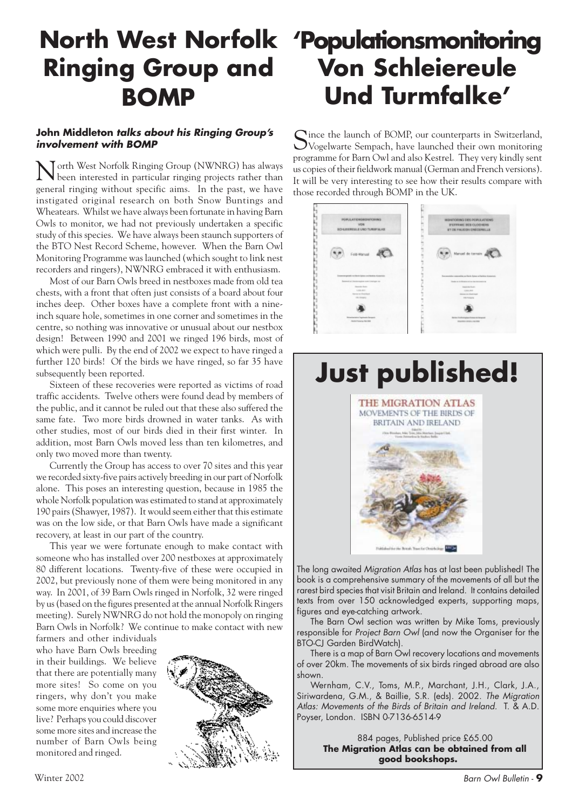# **Ringing Group and BOMP**

### **John Middleton talks about his Ringing Group's involvement with BOMP**

North West Norfolk Ringing Group (NWNRG) has always been interested in particular ringing projects rather than general ringing without specific aims. In the past, we have instigated original research on both Snow Buntings and Wheatears. Whilst we have always been fortunate in having Barn Owls to monitor, we had not previously undertaken a specific study of this species. We have always been staunch supporters of the BTO Nest Record Scheme, however. When the Barn Owl Monitoring Programme was launched (which sought to link nest recorders and ringers), NWNRG embraced it with enthusiasm.

Most of our Barn Owls breed in nestboxes made from old tea chests, with a front that often just consists of a board about four inches deep. Other boxes have a complete front with a nineinch square hole, sometimes in one corner and sometimes in the centre, so nothing was innovative or unusual about our nestbox design! Between 1990 and 2001 we ringed 196 birds, most of which were pulli. By the end of 2002 we expect to have ringed a further 120 birds! Of the birds we have ringed, so far 35 have subsequently been reported.

Sixteen of these recoveries were reported as victims of road traffic accidents. Twelve others were found dead by members of the public, and it cannot be ruled out that these also suffered the same fate. Two more birds drowned in water tanks. As with other studies, most of our birds died in their first winter. In addition, most Barn Owls moved less than ten kilometres, and only two moved more than twenty.

Currently the Group has access to over 70 sites and this year we recorded sixty-five pairs actively breeding in our part of Norfolk alone. This poses an interesting question, because in 1985 the whole Norfolk population was estimated to stand at approximately 190 pairs (Shawyer, 1987). It would seem either that this estimate was on the low side, or that Barn Owls have made a significant recovery, at least in our part of the country.

This year we were fortunate enough to make contact with someone who has installed over 200 nestboxes at approximately 80 different locations. Twenty-five of these were occupied in 2002, but previously none of them were being monitored in any way. In 2001, of 39 Barn Owls ringed in Norfolk, 32 were ringed by us (based on the figures presented at the annual Norfolk Ringers meeting). Surely NWNRG do not hold the monopoly on ringing Barn Owls in Norfolk? We continue to make contact with new

farmers and other individuals who have Barn Owls breeding in their buildings. We believe that there are potentially many more sites! So come on you ringers, why don't you make some more enquiries where you live? Perhaps you could discover some more sites and increase the number of Barn Owls being monitored and ringed.



### **North West Norfolk 'Populationsmonitoring Von Schleiereule Und Turmfalke'**

Since the launch of BOMP, our counterparts in Switzerland,<br>Vogelwarte Sempach, have launched their own monitoring programme for Barn Owl and also Kestrel. They very kindly sent us copies of their fieldwork manual (German and French versions). It will be very interesting to see how their results compare with those recorded through BOMP in the UK.





The long awaited Migration Atlas has at last been published! The book is a comprehensive summary of the movements of all but the rarest bird species that visit Britain and Ireland. It contains detailed texts from over 150 acknowledged experts, supporting maps, figures and eye-catching artwork.

The Barn Owl section was written by Mike Toms, previously responsible for Project Barn Owl (and now the Organiser for the BTO-CJ Garden BirdWatch).

There is a map of Barn Owl recovery locations and movements of over 20km. The movements of six birds ringed abroad are also shown.

Wernham, C.V., Toms, M.P., Marchant, J.H., Clark, J.A., Siriwardena, G.M., & Baillie, S.R. (eds). 2002. The Migration Atlas: Movements of the Birds of Britain and Ireland. T. & A.D. Poyser, London. ISBN 0-7136-6514-9

> 884 pages, Published price £65.00 **The Migration Atlas can be obtained from all good bookshops.**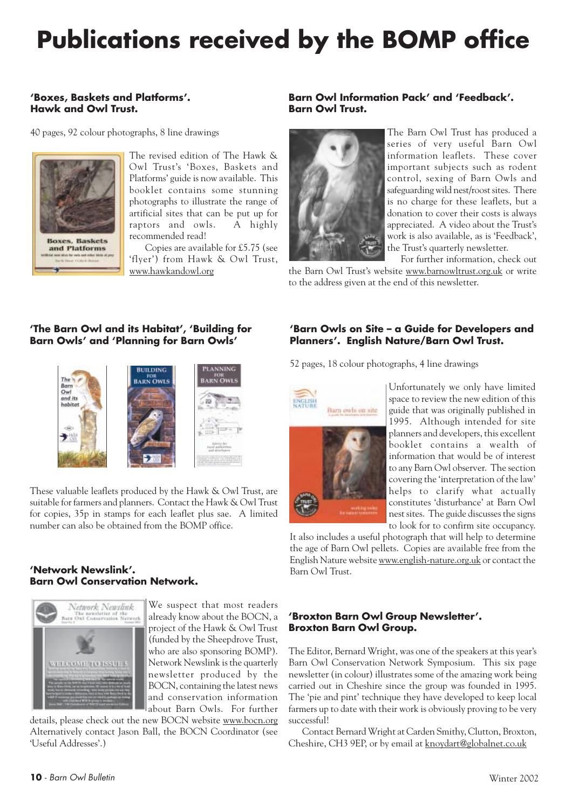### **Publications received by the BOMP office**

### **'Boxes, Baskets and Platforms'. Hawk and Owl Trust.**

40 pages, 92 colour photographs, 8 line drawings



The revised edition of The Hawk & Owl Trust's 'Boxes, Baskets and Platforms' guide is now available. This booklet contains some stunning photographs to illustrate the range of artificial sites that can be put up for raptors and owls. A highly recommended read!

 Copies are available for £5.75 (see 'flyer') from Hawk & Owl Trust, www.hawkandowl.org

### **'The Barn Owl and its Habitat', 'Building for Barn Owls' and 'Planning for Barn Owls'**



These valuable leaflets produced by the Hawk & Owl Trust, are suitable for farmers and planners. Contact the Hawk & Owl Trust for copies, 35p in stamps for each leaflet plus sae. A limited number can also be obtained from the BOMP office.

#### **'Network Newslink'. Barn Owl Conservation Network.**



We suspect that most readers already know about the BOCN, a project of the Hawk & Owl Trust (funded by the Sheepdrove Trust, who are also sponsoring BOMP). Network Newslink is the quarterly newsletter produced by the BOCN, containing the latest news and conservation information about Barn Owls. For further

details, please check out the new BOCN website www.bocn.org Alternatively contact Jason Ball, the BOCN Coordinator (see 'Useful Addresses'.)

### **Barn Owl Information Pack' and 'Feedback'. Barn Owl Trust.**



The Barn Owl Trust has produced a series of very useful Barn Owl information leaflets. These cover important subjects such as rodent control, sexing of Barn Owls and safeguarding wild nest/roost sites. There is no charge for these leaflets, but a donation to cover their costs is always appreciated. A video about the Trust's work is also available, as is 'Feedback', the Trust's quarterly newsletter.

For further information, check out the Barn Owl Trust's website www.barnowltrust.org.uk or write to the address given at the end of this newsletter.

#### **'Barn Owls on Site – a Guide for Developers and Planners'. English Nature/Barn Owl Trust.**

52 pages, 18 colour photographs, 4 line drawings



Unfortunately we only have limited space to review the new edition of this guide that was originally published in 1995. Although intended for site planners and developers, this excellent booklet contains a wealth of information that would be of interest to any Barn Owl observer. The section covering the 'interpretation of the law' helps to clarify what actually constitutes 'disturbance' at Barn Owl nest sites. The guide discusses the signs to look for to confirm site occupancy.

It also includes a useful photograph that will help to determine the age of Barn Owl pellets. Copies are available free from the English Nature website www.english-nature.org.uk or contact the Barn Owl Trust.

#### **'Broxton Barn Owl Group Newsletter'. Broxton Barn Owl Group.**

The Editor, Bernard Wright, was one of the speakers at this year's Barn Owl Conservation Network Symposium. This six page newsletter (in colour) illustrates some of the amazing work being carried out in Cheshire since the group was founded in 1995. The 'pie and pint' technique they have developed to keep local farmers up to date with their work is obviously proving to be very successful!

Contact Bernard Wright at Carden Smithy, Clutton, Broxton, Cheshire, CH3 9EP, or by email at knoydart@globalnet.co.uk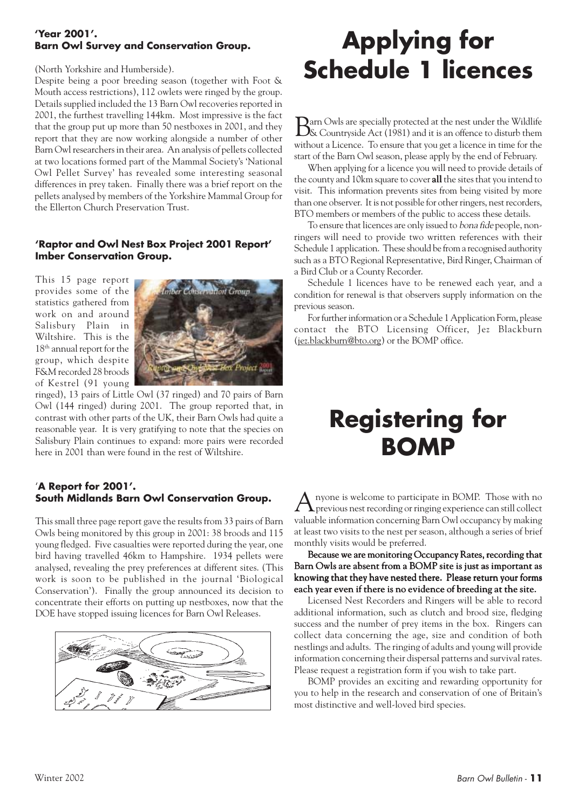### **'Year 2001'. Barn Owl Survey and Conservation Group.**

(North Yorkshire and Humberside).

Despite being a poor breeding season (together with Foot & Mouth access restrictions), 112 owlets were ringed by the group. Details supplied included the 13 Barn Owl recoveries reported in 2001, the furthest travelling 144km. Most impressive is the fact that the group put up more than 50 nestboxes in 2001, and they report that they are now working alongside a number of other Barn Owl researchers in their area. An analysis of pellets collected at two locations formed part of the Mammal Society's 'National Owl Pellet Survey' has revealed some interesting seasonal differences in prey taken. Finally there was a brief report on the pellets analysed by members of the Yorkshire Mammal Group for the Ellerton Church Preservation Trust.

### **'Raptor and Owl Nest Box Project 2001 Report' Imber Conservation Group.**

This 15 page report provides some of the statistics gathered from work on and around Salisbury Plain in Wiltshire. This is the 18<sup>th</sup> annual report for the group, which despite F&M recorded 28 broods of Kestrel (91 young



ringed), 13 pairs of Little Owl (37 ringed) and 70 pairs of Barn Owl (144 ringed) during 2001. The group reported that, in contrast with other parts of the UK, their Barn Owls had quite a reasonable year. It is very gratifying to note that the species on Salisbury Plain continues to expand: more pairs were recorded here in 2001 than were found in the rest of Wiltshire.

### '**A Report for 2001'. South Midlands Barn Owl Conservation Group.**

This small three page report gave the results from 33 pairs of Barn Owls being monitored by this group in 2001: 38 broods and 115 young fledged. Five casualties were reported during the year, one bird having travelled 46km to Hampshire. 1934 pellets were analysed, revealing the prey preferences at different sites. (This work is soon to be published in the journal 'Biological Conservation'). Finally the group announced its decision to concentrate their efforts on putting up nestboxes, now that the DOE have stopped issuing licences for Barn Owl Releases.



### **Applying for Schedule 1 licences**

Barn Owls are specially protected at the nest under the Wildlife & Countryside Act (1981) and it is an offence to disturb them without a Licence. To ensure that you get a licence in time for the start of the Barn Owl season, please apply by the end of February.

When applying for a licence you will need to provide details of the county and 10km square to cover **all** the sites that you intend to visit. This information prevents sites from being visited by more than one observer. It is not possible for other ringers, nest recorders, BTO members or members of the public to access these details.

To ensure that licences are only issued to bona fide people, nonringers will need to provide two written references with their Schedule 1 application. These should be from a recognised authority such as a BTO Regional Representative, Bird Ringer, Chairman of a Bird Club or a County Recorder.

Schedule 1 licences have to be renewed each year, and a condition for renewal is that observers supply information on the previous season.

For further information or a Schedule 1 Application Form, please contact the BTO Licensing Officer, Jez Blackburn (jez.blackburn@bto.org) or the BOMP office.

### **Registering for BOMP**

nyone is welcome to participate in BOMP. Those with no  $\mathbf{\Lambda}$  previous nest recording or ringing experience can still collect valuable information concerning Barn Owl occupancy by making at least two visits to the nest per season, although a series of brief monthly visits would be preferred.

Because we are monitoring Occupancy Rates, recording that Barn Owls are absent from a BOMP site is just as important as knowing that they have nested there. Please return your forms each year even if there is no evidence of breeding at the site.

Licensed Nest Recorders and Ringers will be able to record additional information, such as clutch and brood size, fledging success and the number of prey items in the box. Ringers can collect data concerning the age, size and condition of both nestlings and adults. The ringing of adults and young will provide information concerning their dispersal patterns and survival rates. Please request a registration form if you wish to take part.

BOMP provides an exciting and rewarding opportunity for you to help in the research and conservation of one of Britain's most distinctive and well-loved bird species.